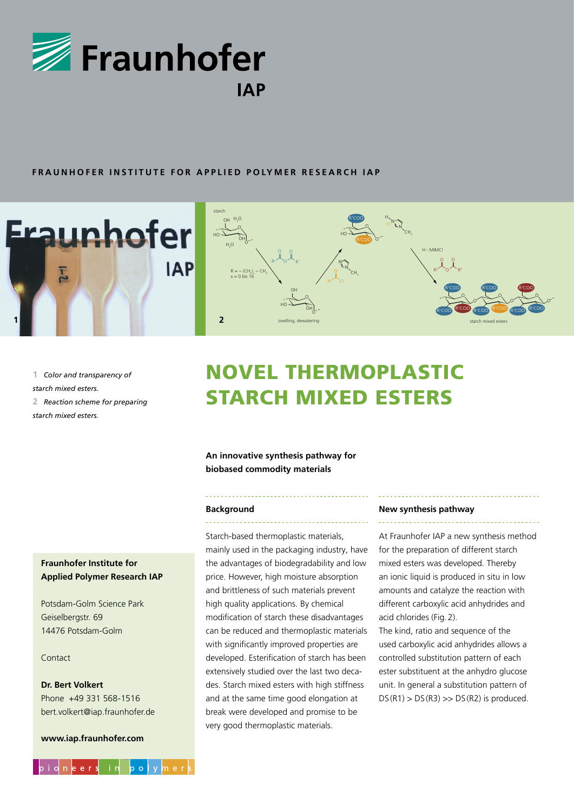

## **FRAUNHOFER INSTITUTE FOR APPLIED POLYMER RESEARCH IAP**





**1** *Color and transparency of starch mixed esters.* **2** *Reaction scheme for preparing starch mixed esters.*

# Novel thermoplastic starch mixed esters

**An innovative synthesis pathway for biobased commodity materials**

#### **Background**

Starch-based thermoplastic materials, mainly used in the packaging industry, have the advantages of biodegradability and low price. However, high moisture absorption and brittleness of such materials prevent high quality applications. By chemical modification of starch these disadvantages can be reduced and thermoplastic materials with significantly improved properties are developed. Esterification of starch has been extensively studied over the last two decades. Starch mixed esters with high stiffness and at the same time good elongation at break were developed and promise to be very good thermoplastic materials.

#### **New synthesis pathway**

At Fraunhofer IAP a new synthesis method for the preparation of different starch mixed esters was developed. Thereby an ionic liquid is produced in situ in low amounts and catalyze the reaction with different carboxylic acid anhydrides and acid chlorides (Fig.2).

The kind, ratio and sequence of the used carboxylic acid anhydrides allows a controlled substitution pattern of each ester substituent at the anhydro glucose unit. In general a substitution pattern of  $DS(R1)$  >  $DS(R3)$  >>  $DS(R2)$  is produced.

## **Fraunhofer Institute for Applied Polymer Research IAP**

Potsdam-Golm Science Park Geiselbergstr. 69 14476 Potsdam-Golm

### Contact

# **Dr. Bert Volkert** Phone +49 331 568-1516 bert.volkert@iap.fraunhofer.de

**www.iap.fraunhofer.com**

pidneers

 $\blacksquare$ in

 $\mathbf{b}$  o

 $v \mid m \mid e \mid r \mid s$